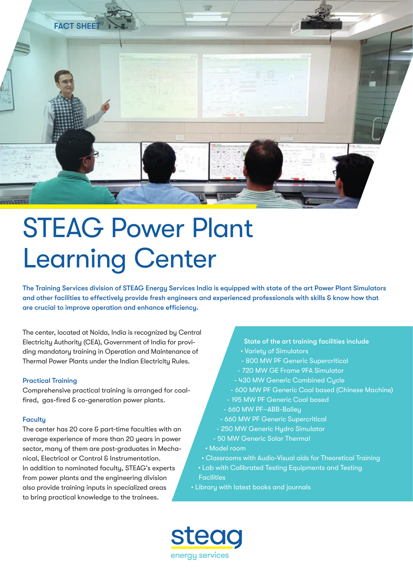

# STEAG Power Plant Learning Center

The Training Services division of STEAG Energy Services India is equipped with state of the art Power Plant Simulators and other facilities to effectively provide fresh engineers and experienced professionals with skills & know how that are crucial to improve operation and enhance efficiency.

The center, located at Noida, India is recognized by Central Electricity Authority (CEA), Government of India for providing mandatory training in Operation and Maintenance of Thermal Power Plants under the Indian Electricity Rules.

### Practical Training

Comprehensive practical training is arranged for coalfired, gas-fired & co-generation power plants.

### **Faculty**

The center has 20 core & part-time faculties with an average experience of more than 20 years in power sector, many of them are post-graduates in Mechanical, Electrical or Control & Instrumentation. In addition to nominated faculty, STEAG's experts from power plants and the engineering division also provide training inputs in specialized areas to bring practical knowledge to the trainees.

- State of the art training facilities include
- Variety of Simulators
- 800 MW PF Generic Supercritical
- 720 MW GE Frame 9FA Simulator
- 430 MW Generic Combined Cycle
- 600 MW PF Generic Coal based (Chinese Machine)
- 195 MW PF Generic Coal based
- 660 MW PF–ABB-Bailey
- 660 MW PF Generic Supercritical
- 250 MW Generic Hydro Simulator
- 50 MW Generic Solar Thermal
- Model room
- Classrooms with Audio-Visual aids for Theoretical Training • Lab with Calibrated Testing Equipments and Testing **Facilities**
- Library with latest books and journals